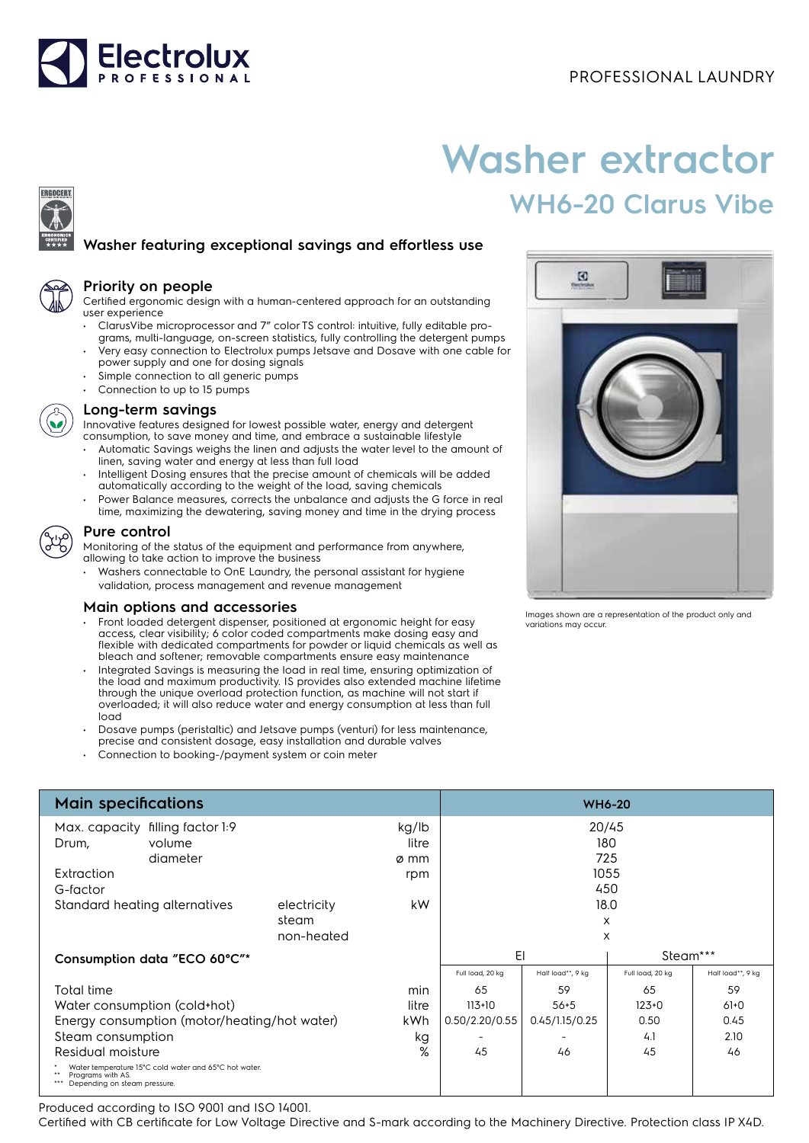

# **Washer extractor WH6-20 Clarus Vibe**

 $\boldsymbol{\Xi}$ 

# **Washer featuring exceptional savings and effortless use**



ERGOCERT

#### **Priority on people**

Certified ergonomic design with a human-centered approach for an outstanding user experience

- ClarusVibe microprocessor and 7" color TS control: intuitive, fully editable programs, multi-language, on-screen statistics, fully controlling the detergent pumps • Very easy connection to Electrolux pumps Jetsave and Dosave with one cable for
- power supply and one for dosing signals Simple connection to all generic pumps
- Connection to up to 15 pumps



### **Long-term savings**

Innovative features designed for lowest possible water, energy and detergent

- consumption, to save money and time, and embrace a sustainable lifestyle • Automatic Savings weighs the linen and adjusts the water level to the amount of linen, saving water and energy at less than full load
- Intelligent Dosing automatically a
- Power Balance n time, maximizing



Residual moisture

#### **Pure control**

## **Main options**

- $\cdot$  Front loaded de access, clear visi flexible with dec bleach and soft
- Integrated Savir the load and ma through the unic overloaded; it w load
- Dosave pumps
- precise and con
- Connection to b

|                                                                                                                                     | Intelligent Dosing ensures that the precise amount of chemicals will be added<br>automatically according to the weight of the load, saving chemicals<br>Power Balance measures, corrects the unbalance and adjusts the G force in real<br>time, maximizing the dewatering, saving money and time in the drying process                                                                                                                                                                                                                                                                                                                                                                                                                                                                                                                                                                               |                           |                               |                                    |                       |                                                           |                   |  |  |
|-------------------------------------------------------------------------------------------------------------------------------------|------------------------------------------------------------------------------------------------------------------------------------------------------------------------------------------------------------------------------------------------------------------------------------------------------------------------------------------------------------------------------------------------------------------------------------------------------------------------------------------------------------------------------------------------------------------------------------------------------------------------------------------------------------------------------------------------------------------------------------------------------------------------------------------------------------------------------------------------------------------------------------------------------|---------------------------|-------------------------------|------------------------------------|-----------------------|-----------------------------------------------------------|-------------------|--|--|
| Pure control                                                                                                                        | Monitoring of the status of the equipment and performance from anywhere,<br>allowing to take action to improve the business<br>• Washers connectable to OnE Laundry, the personal assistant for hygiene<br>validation, process management and revenue management                                                                                                                                                                                                                                                                                                                                                                                                                                                                                                                                                                                                                                     |                           |                               |                                    |                       |                                                           |                   |  |  |
| load                                                                                                                                | Main options and accessories<br>Front loaded detergent dispenser, positioned at ergonomic height for easy<br>access, clear visibility; 6 color coded compartments make dosing easy and<br>flexible with dedicated compartments for powder or liquid chemicals as well as<br>bleach and softener; removable compartments ensure easy maintenance<br>Integrated Savings is measuring the load in real time, ensuring optimization of<br>the load and maximum productivity. IS provides also extended machine lifetime<br>through the unique overload protection function, as machine will not start if<br>overloaded; it will also reduce water and energy consumption at less than full<br>Dosave pumps (peristaltic) and Jetsave pumps (venturi) for less maintenance,<br>precise and consistent dosage, easy installation and durable valves<br>Connection to booking-/payment system or coin meter |                           |                               |                                    | variations may occur. | Images shown are a representation of the product only and |                   |  |  |
| <b>Main specifications</b>                                                                                                          |                                                                                                                                                                                                                                                                                                                                                                                                                                                                                                                                                                                                                                                                                                                                                                                                                                                                                                      |                           |                               |                                    |                       | <b>WH6-20</b>                                             |                   |  |  |
| Max. capacity filling factor 1:9<br>volume<br>Drum,<br>diameter<br>Extraction<br>G-factor<br>Standard heating alternatives<br>steam |                                                                                                                                                                                                                                                                                                                                                                                                                                                                                                                                                                                                                                                                                                                                                                                                                                                                                                      |                           | kg/lb<br>litre<br>ø mm<br>rpm | 20/45<br>180<br>725<br>1055<br>450 |                       |                                                           |                   |  |  |
|                                                                                                                                     |                                                                                                                                                                                                                                                                                                                                                                                                                                                                                                                                                                                                                                                                                                                                                                                                                                                                                                      | electricity<br>non-heated | kW                            | 18.0<br>X<br>X                     |                       |                                                           |                   |  |  |
| Consumption data "ECO 60°C"*                                                                                                        |                                                                                                                                                                                                                                                                                                                                                                                                                                                                                                                                                                                                                                                                                                                                                                                                                                                                                                      |                           |                               | EI<br>Steam***                     |                       |                                                           |                   |  |  |
|                                                                                                                                     |                                                                                                                                                                                                                                                                                                                                                                                                                                                                                                                                                                                                                                                                                                                                                                                                                                                                                                      |                           |                               | Full load, 20 kg                   | Half load**, 9 kg     | Full load, 20 kg                                          | Half load**, 9 kg |  |  |
| <b>Total time</b><br>min                                                                                                            |                                                                                                                                                                                                                                                                                                                                                                                                                                                                                                                                                                                                                                                                                                                                                                                                                                                                                                      |                           |                               | 65                                 | 59                    | 65                                                        | 59                |  |  |
| Water consumption (cold+hot)<br>litre                                                                                               |                                                                                                                                                                                                                                                                                                                                                                                                                                                                                                                                                                                                                                                                                                                                                                                                                                                                                                      |                           |                               | $113+10$                           | $56 + 5$              | $123+0$                                                   | $61+0$            |  |  |
| Energy consumption (motor/heating/hot water)<br>kWh                                                                                 |                                                                                                                                                                                                                                                                                                                                                                                                                                                                                                                                                                                                                                                                                                                                                                                                                                                                                                      |                           |                               | 0.50/2.20/0.55                     | 0.45/1.15/0.25        | 0.50                                                      | 0.45              |  |  |
| Steam consumption<br>kg                                                                                                             |                                                                                                                                                                                                                                                                                                                                                                                                                                                                                                                                                                                                                                                                                                                                                                                                                                                                                                      |                           |                               |                                    |                       | 4.1                                                       | 2.10              |  |  |
| %<br>Residual moisture                                                                                                              |                                                                                                                                                                                                                                                                                                                                                                                                                                                                                                                                                                                                                                                                                                                                                                                                                                                                                                      |                           |                               | 45                                 | 46                    | 45                                                        | 46                |  |  |

\*\* Programs with AS. \*\*\* Depending on steam pressure.

Produced according to ISO 9001 and ISO 14001.

Water temperature 15°C cold water and 65°C hot water.

Certified with CB certificate for Low Voltage Directive and S-mark according to the Machinery Directive. Protection class IP X4D.



45 46 45 46